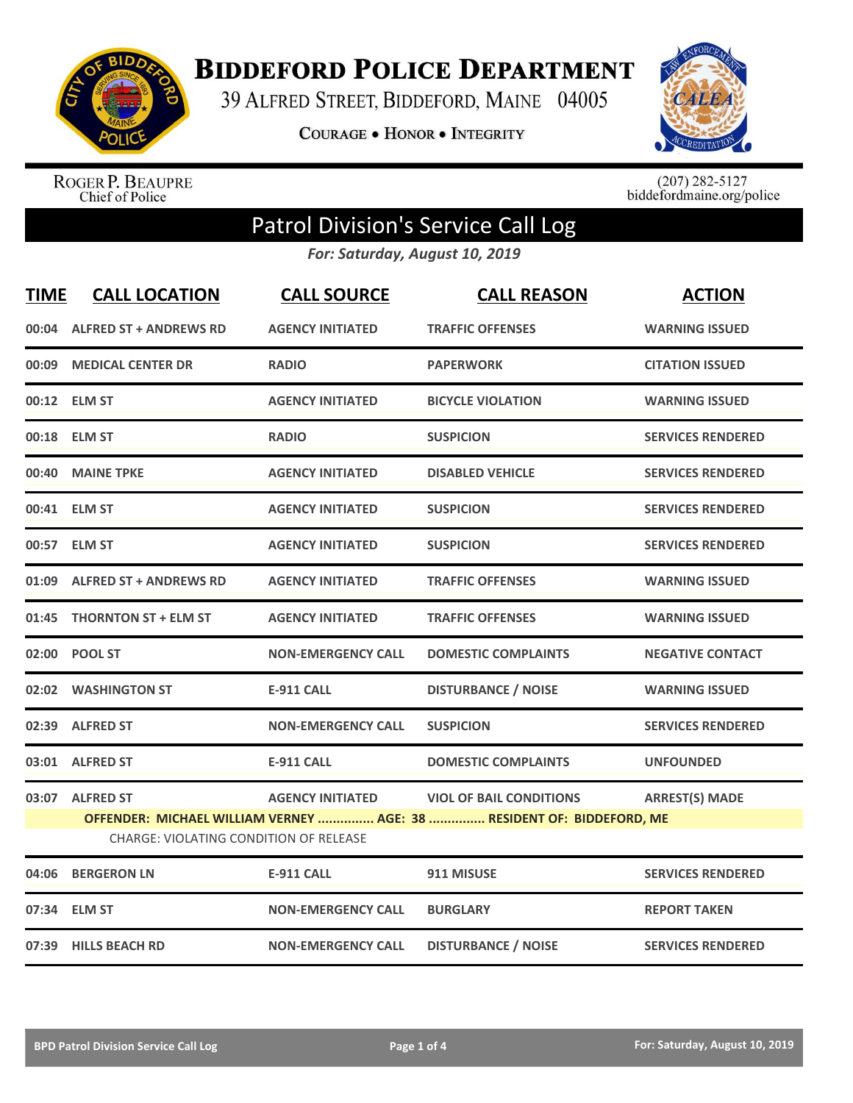

**BIDDEFORD POLICE DEPARTMENT** 

39 ALFRED STREET, BIDDEFORD, MAINE 04005

**COURAGE . HONOR . INTEGRITY** 



ROGER P. BEAUPRE<br>Chief of Police

 $(207)$  282-5127<br>biddefordmaine.org/police

## Patrol Division's Service Call Log

*For: Saturday, August 10, 2019*

| <b>TIME</b> | <b>CALL LOCATION</b>                   | <b>CALL SOURCE</b>        | <b>CALL REASON</b>                                                    | <b>ACTION</b>            |
|-------------|----------------------------------------|---------------------------|-----------------------------------------------------------------------|--------------------------|
| 00:04       | <b>ALFRED ST + ANDREWS RD</b>          | <b>AGENCY INITIATED</b>   | <b>TRAFFIC OFFENSES</b>                                               | <b>WARNING ISSUED</b>    |
| 00:09       | <b>MEDICAL CENTER DR</b>               | <b>RADIO</b>              | <b>PAPERWORK</b>                                                      | <b>CITATION ISSUED</b>   |
|             | 00:12 ELM ST                           | <b>AGENCY INITIATED</b>   | <b>BICYCLE VIOLATION</b>                                              | <b>WARNING ISSUED</b>    |
|             | 00:18 ELM ST                           | <b>RADIO</b>              | <b>SUSPICION</b>                                                      | <b>SERVICES RENDERED</b> |
| 00:40       | <b>MAINE TPKE</b>                      | <b>AGENCY INITIATED</b>   | <b>DISABLED VEHICLE</b>                                               | <b>SERVICES RENDERED</b> |
|             | 00:41 ELM ST                           | <b>AGENCY INITIATED</b>   | <b>SUSPICION</b>                                                      | <b>SERVICES RENDERED</b> |
|             | 00:57 ELM ST                           | <b>AGENCY INITIATED</b>   | <b>SUSPICION</b>                                                      | <b>SERVICES RENDERED</b> |
|             | 01:09 ALFRED ST + ANDREWS RD           | <b>AGENCY INITIATED</b>   | <b>TRAFFIC OFFENSES</b>                                               | <b>WARNING ISSUED</b>    |
| 01:45       | <b>THORNTON ST + ELM ST</b>            | <b>AGENCY INITIATED</b>   | <b>TRAFFIC OFFENSES</b>                                               | <b>WARNING ISSUED</b>    |
|             | 02:00 POOL ST                          | <b>NON-EMERGENCY CALL</b> | <b>DOMESTIC COMPLAINTS</b>                                            | <b>NEGATIVE CONTACT</b>  |
|             | 02:02 WASHINGTON ST                    | <b>E-911 CALL</b>         | <b>DISTURBANCE / NOISE</b>                                            | <b>WARNING ISSUED</b>    |
|             | 02:39 ALFRED ST                        | <b>NON-EMERGENCY CALL</b> | <b>SUSPICION</b>                                                      | <b>SERVICES RENDERED</b> |
|             | 03:01 ALFRED ST                        | <b>E-911 CALL</b>         | <b>DOMESTIC COMPLAINTS</b>                                            | <b>UNFOUNDED</b>         |
|             | 03:07 ALFRED ST                        | <b>AGENCY INITIATED</b>   | <b>VIOL OF BAIL CONDITIONS</b>                                        | <b>ARREST(S) MADE</b>    |
|             |                                        |                           | OFFENDER: MICHAEL WILLIAM VERNEY  AGE: 38  RESIDENT OF: BIDDEFORD, ME |                          |
|             | CHARGE: VIOLATING CONDITION OF RELEASE |                           |                                                                       |                          |
| 04:06       | <b>BERGERON LN</b>                     | <b>E-911 CALL</b>         | 911 MISUSE                                                            | <b>SERVICES RENDERED</b> |
|             | 07:34 ELM ST                           | <b>NON-EMERGENCY CALL</b> | <b>BURGLARY</b>                                                       | <b>REPORT TAKEN</b>      |
|             | 07:39 HILLS BEACH RD                   | <b>NON-EMERGENCY CALL</b> | <b>DISTURBANCE / NOISE</b>                                            | <b>SERVICES RENDERED</b> |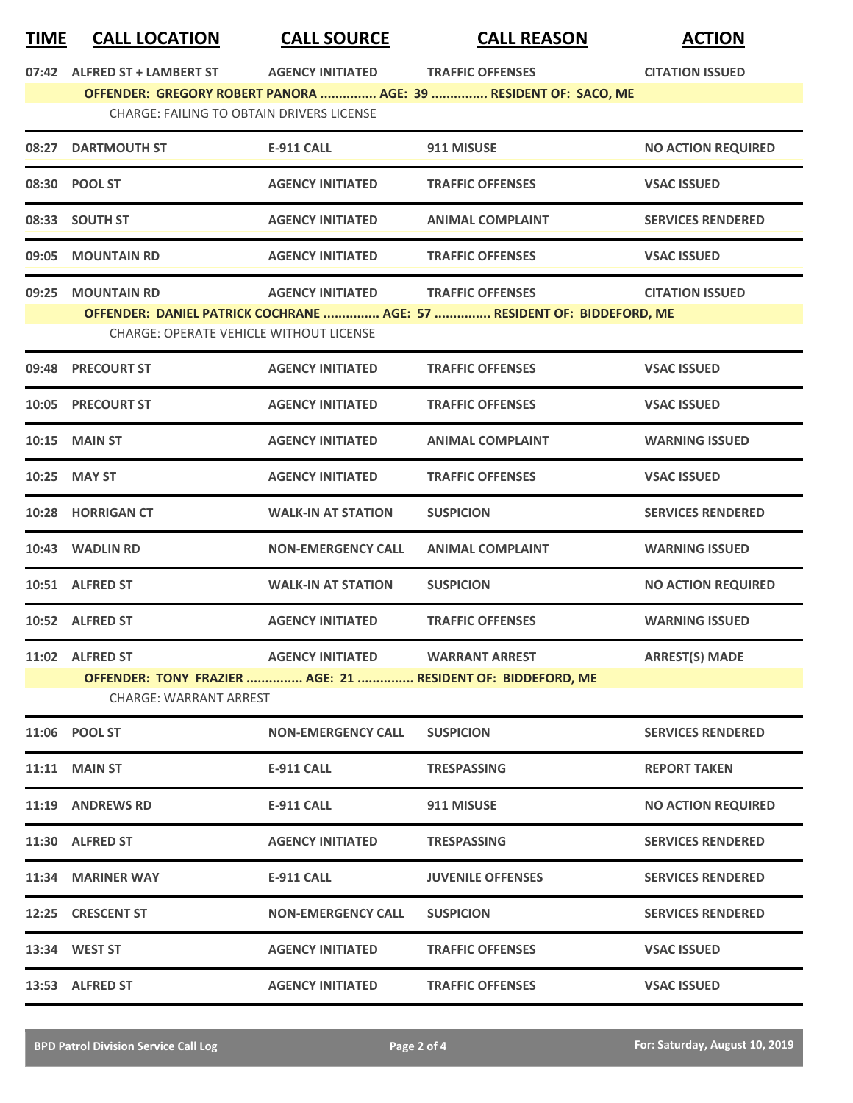## **TIME CALL LOCATION CALL SOURCE CALL REASON ACTION**

| 08:27 | <b>CHARGE: FAILING TO OBTAIN DRIVERS LICENSE</b><br><b>DARTMOUTH ST</b><br>08:30 POOL ST | E-911 CALL                | OFFENDER: GREGORY ROBERT PANORA  AGE: 39  RESIDENT OF: SACO, ME<br>911 MISUSE |                           |
|-------|------------------------------------------------------------------------------------------|---------------------------|-------------------------------------------------------------------------------|---------------------------|
|       |                                                                                          |                           |                                                                               |                           |
|       |                                                                                          |                           |                                                                               |                           |
|       |                                                                                          |                           |                                                                               | <b>NO ACTION REQUIRED</b> |
|       |                                                                                          | <b>AGENCY INITIATED</b>   | <b>TRAFFIC OFFENSES</b>                                                       | <b>VSAC ISSUED</b>        |
|       | 08:33 SOUTH ST                                                                           | <b>AGENCY INITIATED</b>   | <b>ANIMAL COMPLAINT</b>                                                       | <b>SERVICES RENDERED</b>  |
| 09:05 | <b>MOUNTAIN RD</b>                                                                       | <b>AGENCY INITIATED</b>   | <b>TRAFFIC OFFENSES</b>                                                       | <b>VSAC ISSUED</b>        |
|       | 09:25 MOUNTAIN RD                                                                        | <b>AGENCY INITIATED</b>   | <b>TRAFFIC OFFENSES</b>                                                       | <b>CITATION ISSUED</b>    |
|       |                                                                                          |                           | OFFENDER: DANIEL PATRICK COCHRANE  AGE: 57  RESIDENT OF: BIDDEFORD, ME        |                           |
|       | <b>CHARGE: OPERATE VEHICLE WITHOUT LICENSE</b>                                           |                           |                                                                               |                           |
|       | 09:48 PRECOURT ST                                                                        | <b>AGENCY INITIATED</b>   | <b>TRAFFIC OFFENSES</b>                                                       | <b>VSAC ISSUED</b>        |
|       | 10:05 PRECOURT ST                                                                        | <b>AGENCY INITIATED</b>   | <b>TRAFFIC OFFENSES</b>                                                       | <b>VSAC ISSUED</b>        |
|       | <b>10:15 MAIN ST</b>                                                                     | <b>AGENCY INITIATED</b>   | <b>ANIMAL COMPLAINT</b>                                                       | <b>WARNING ISSUED</b>     |
|       | 10:25 MAY ST                                                                             | <b>AGENCY INITIATED</b>   | <b>TRAFFIC OFFENSES</b>                                                       | <b>VSAC ISSUED</b>        |
|       | 10:28 HORRIGAN CT                                                                        | <b>WALK-IN AT STATION</b> | <b>SUSPICION</b>                                                              | <b>SERVICES RENDERED</b>  |
|       | 10:43 WADLIN RD                                                                          | <b>NON-EMERGENCY CALL</b> | <b>ANIMAL COMPLAINT</b>                                                       | <b>WARNING ISSUED</b>     |
|       | 10:51 ALFRED ST                                                                          | <b>WALK-IN AT STATION</b> | <b>SUSPICION</b>                                                              | <b>NO ACTION REQUIRED</b> |
|       | 10:52 ALFRED ST                                                                          | <b>AGENCY INITIATED</b>   | <b>TRAFFIC OFFENSES</b>                                                       | <b>WARNING ISSUED</b>     |
|       | 11:02 ALFRED ST                                                                          | <b>AGENCY INITIATED</b>   | <b>WARRANT ARREST</b>                                                         | <b>ARREST(S) MADE</b>     |
|       |                                                                                          |                           | OFFENDER: TONY FRAZIER  AGE: 21  RESIDENT OF: BIDDEFORD, ME                   |                           |
|       | <b>CHARGE: WARRANT ARREST</b>                                                            |                           |                                                                               |                           |
|       | 11:06 POOL ST                                                                            | <b>NON-EMERGENCY CALL</b> | <b>SUSPICION</b>                                                              | <b>SERVICES RENDERED</b>  |
|       | <b>11:11 MAIN ST</b>                                                                     | <b>E-911 CALL</b>         | TRESPASSING                                                                   | <b>REPORT TAKEN</b>       |
|       | <b>11:19 ANDREWS RD</b>                                                                  | <b>E-911 CALL</b>         | 911 MISUSE                                                                    | <b>NO ACTION REQUIRED</b> |
|       | 11:30 ALFRED ST                                                                          | <b>AGENCY INITIATED</b>   | <b>TRESPASSING</b>                                                            | <b>SERVICES RENDERED</b>  |
|       | 11:34 MARINER WAY                                                                        | E-911 CALL                | <b>JUVENILE OFFENSES</b>                                                      | <b>SERVICES RENDERED</b>  |
| 12:25 | <b>CRESCENT ST</b>                                                                       | <b>NON-EMERGENCY CALL</b> | <b>SUSPICION</b>                                                              | <b>SERVICES RENDERED</b>  |
|       | 13:34 WEST ST                                                                            | <b>AGENCY INITIATED</b>   | <b>TRAFFIC OFFENSES</b>                                                       | <b>VSAC ISSUED</b>        |
|       | 13:53 ALFRED ST                                                                          | <b>AGENCY INITIATED</b>   | <b>TRAFFIC OFFENSES</b>                                                       | <b>VSAC ISSUED</b>        |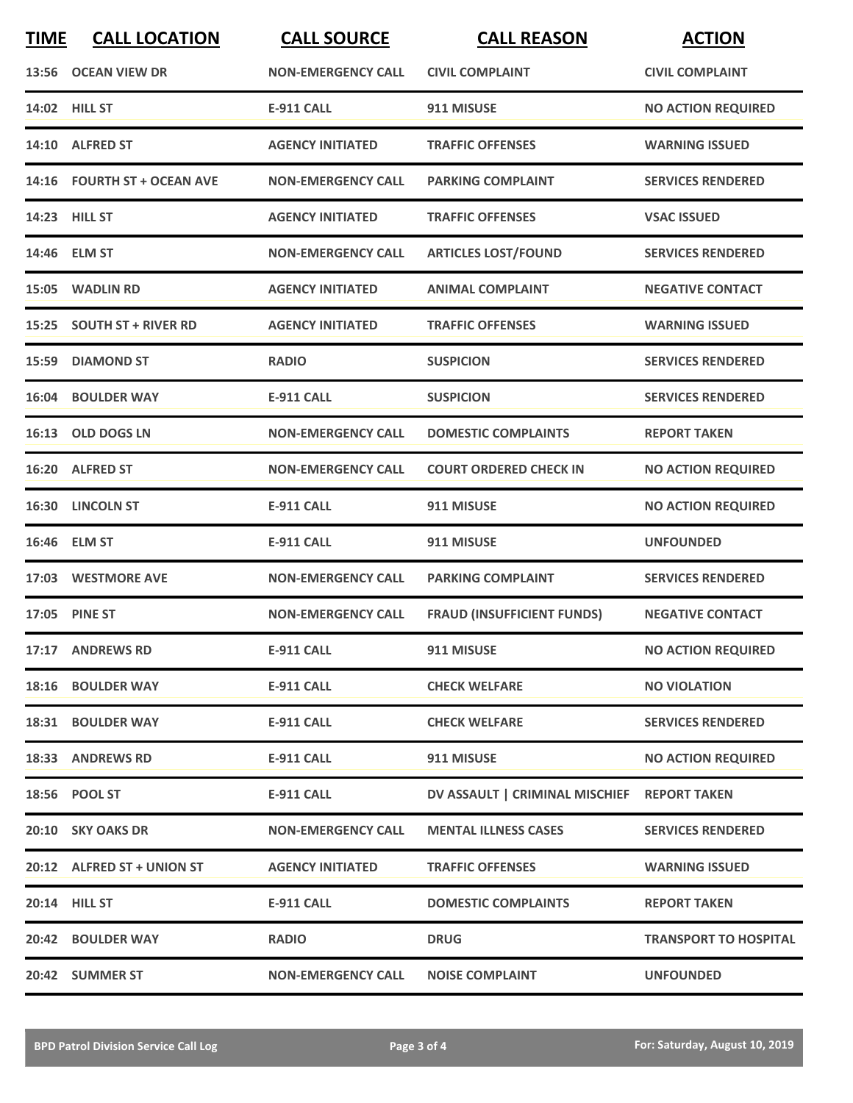| <b>TIME</b> | <b>CALL LOCATION</b>        | <b>CALL SOURCE</b>        | <b>CALL REASON</b>                          | <b>ACTION</b>                |
|-------------|-----------------------------|---------------------------|---------------------------------------------|------------------------------|
|             | 13:56 OCEAN VIEW DR         | <b>NON-EMERGENCY CALL</b> | <b>CIVIL COMPLAINT</b>                      | <b>CIVIL COMPLAINT</b>       |
|             | 14:02 HILL ST               | <b>E-911 CALL</b>         | 911 MISUSE                                  | <b>NO ACTION REQUIRED</b>    |
|             | 14:10 ALFRED ST             | <b>AGENCY INITIATED</b>   | <b>TRAFFIC OFFENSES</b>                     | <b>WARNING ISSUED</b>        |
|             | 14:16 FOURTH ST + OCEAN AVE | <b>NON-EMERGENCY CALL</b> | <b>PARKING COMPLAINT</b>                    | <b>SERVICES RENDERED</b>     |
|             | 14:23 HILL ST               | <b>AGENCY INITIATED</b>   | <b>TRAFFIC OFFENSES</b>                     | <b>VSAC ISSUED</b>           |
|             | 14:46 ELM ST                | <b>NON-EMERGENCY CALL</b> | <b>ARTICLES LOST/FOUND</b>                  | <b>SERVICES RENDERED</b>     |
|             | 15:05 WADLIN RD             | <b>AGENCY INITIATED</b>   | <b>ANIMAL COMPLAINT</b>                     | <b>NEGATIVE CONTACT</b>      |
|             | 15:25 SOUTH ST + RIVER RD   | <b>AGENCY INITIATED</b>   | <b>TRAFFIC OFFENSES</b>                     | <b>WARNING ISSUED</b>        |
|             | 15:59 DIAMOND ST            | <b>RADIO</b>              | <b>SUSPICION</b>                            | <b>SERVICES RENDERED</b>     |
|             | 16:04 BOULDER WAY           | <b>E-911 CALL</b>         | <b>SUSPICION</b>                            | <b>SERVICES RENDERED</b>     |
|             | 16:13 OLD DOGS LN           | <b>NON-EMERGENCY CALL</b> | <b>DOMESTIC COMPLAINTS</b>                  | <b>REPORT TAKEN</b>          |
|             | 16:20 ALFRED ST             | <b>NON-EMERGENCY CALL</b> | <b>COURT ORDERED CHECK IN</b>               | <b>NO ACTION REQUIRED</b>    |
| 16:30       | <b>LINCOLN ST</b>           | <b>E-911 CALL</b>         | 911 MISUSE                                  | <b>NO ACTION REQUIRED</b>    |
|             | 16:46 ELM ST                | <b>E-911 CALL</b>         | 911 MISUSE                                  | <b>UNFOUNDED</b>             |
|             | 17:03 WESTMORE AVE          | <b>NON-EMERGENCY CALL</b> | <b>PARKING COMPLAINT</b>                    | <b>SERVICES RENDERED</b>     |
|             | 17:05 PINE ST               | <b>NON-EMERGENCY CALL</b> | <b>FRAUD (INSUFFICIENT FUNDS)</b>           | <b>NEGATIVE CONTACT</b>      |
|             | 17:17 ANDREWS RD            | E-911 CALL                | 911 MISUSE                                  | <b>NO ACTION REQUIRED</b>    |
|             | 18:16 BOULDER WAY           | <b>E-911 CALL</b>         | <b>CHECK WELFARE</b>                        | <b>NO VIOLATION</b>          |
|             | 18:31 BOULDER WAY           | <b>E-911 CALL</b>         | <b>CHECK WELFARE</b>                        | <b>SERVICES RENDERED</b>     |
|             | 18:33 ANDREWS RD            | E-911 CALL                | 911 MISUSE                                  | <b>NO ACTION REQUIRED</b>    |
|             | 18:56 POOL ST               | E-911 CALL                | DV ASSAULT   CRIMINAL MISCHIEF REPORT TAKEN |                              |
|             | 20:10 SKY OAKS DR           | <b>NON-EMERGENCY CALL</b> | <b>MENTAL ILLNESS CASES</b>                 | <b>SERVICES RENDERED</b>     |
|             | 20:12 ALFRED ST + UNION ST  | <b>AGENCY INITIATED</b>   | <b>TRAFFIC OFFENSES</b>                     | <b>WARNING ISSUED</b>        |
|             | 20:14 HILL ST               | <b>E-911 CALL</b>         | <b>DOMESTIC COMPLAINTS</b>                  | <b>REPORT TAKEN</b>          |
|             | 20:42 BOULDER WAY           | <b>RADIO</b>              | <b>DRUG</b>                                 | <b>TRANSPORT TO HOSPITAL</b> |
|             | 20:42 SUMMER ST             | <b>NON-EMERGENCY CALL</b> | <b>NOISE COMPLAINT</b>                      | <b>UNFOUNDED</b>             |